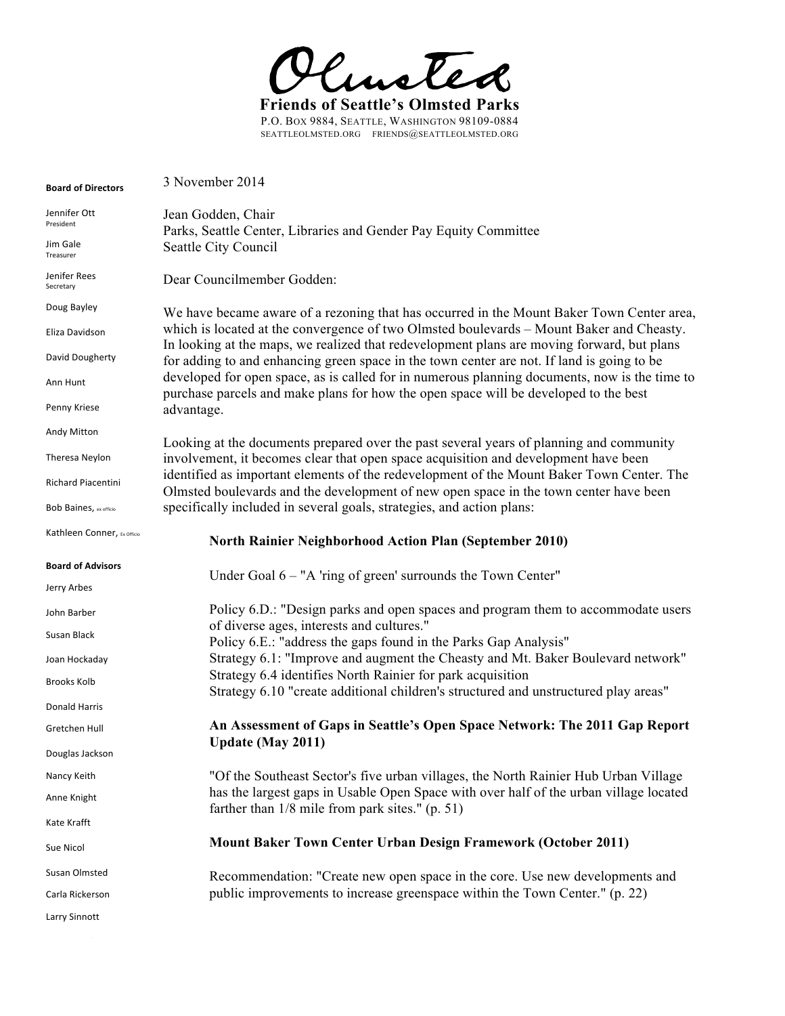

P.O. BOX 9884, SEATTLE, WASHINGTON 98109-0884 SEATTLEOLMSTED.ORG FRIENDS@SEATTLEOLMSTED.ORG

| <b>Board of Directors</b>   | 3 November 2014                                                                                                                                                                        |
|-----------------------------|----------------------------------------------------------------------------------------------------------------------------------------------------------------------------------------|
| Jennifer Ott<br>President   | Jean Godden, Chair<br>Parks, Seattle Center, Libraries and Gender Pay Equity Committee                                                                                                 |
| Jim Gale<br>Treasurer       | Seattle City Council                                                                                                                                                                   |
| Jenifer Rees<br>Secretary   | Dear Councilmember Godden:                                                                                                                                                             |
| Doug Bayley                 | We have became aware of a rezoning that has occurred in the Mount Baker Town Center area,                                                                                              |
| Eliza Davidson              | which is located at the convergence of two Olmsted boulevards – Mount Baker and Cheasty.<br>In looking at the maps, we realized that redevelopment plans are moving forward, but plans |
| David Dougherty             | for adding to and enhancing green space in the town center are not. If land is going to be                                                                                             |
| Ann Hunt                    | developed for open space, as is called for in numerous planning documents, now is the time to<br>purchase parcels and make plans for how the open space will be developed to the best  |
| Penny Kriese                | advantage.                                                                                                                                                                             |
| Andy Mitton                 |                                                                                                                                                                                        |
| Theresa Neylon              | Looking at the documents prepared over the past several years of planning and community<br>involvement, it becomes clear that open space acquisition and development have been         |
| <b>Richard Piacentini</b>   | identified as important elements of the redevelopment of the Mount Baker Town Center. The<br>Olmsted boulevards and the development of new open space in the town center have been     |
| Bob Baines, ex officio      | specifically included in several goals, strategies, and action plans:                                                                                                                  |
| Kathleen Conner, Ex Officio | <b>North Rainier Neighborhood Action Plan (September 2010)</b>                                                                                                                         |
| <b>Board of Advisors</b>    |                                                                                                                                                                                        |
|                             |                                                                                                                                                                                        |
| Jerry Arbes                 | Under Goal $6 - "A'$ ring of green' surrounds the Town Center"                                                                                                                         |
| John Barber                 | Policy 6.D.: "Design parks and open spaces and program them to accommodate users                                                                                                       |
| Susan Black                 | of diverse ages, interests and cultures."<br>Policy 6.E.: "address the gaps found in the Parks Gap Analysis"                                                                           |
| Joan Hockaday               | Strategy 6.1: "Improve and augment the Cheasty and Mt. Baker Boulevard network"                                                                                                        |
| <b>Brooks Kolb</b>          | Strategy 6.4 identifies North Rainier for park acquisition<br>Strategy 6.10 "create additional children's structured and unstructured play areas"                                      |
| Donald Harris               |                                                                                                                                                                                        |
| Gretchen Hull               | An Assessment of Gaps in Seattle's Open Space Network: The 2011 Gap Report                                                                                                             |
| Douglas Jackson             | <b>Update (May 2011)</b>                                                                                                                                                               |
| Nancy Keith                 | "Of the Southeast Sector's five urban villages, the North Rainier Hub Urban Village                                                                                                    |
| Anne Knight                 | has the largest gaps in Usable Open Space with over half of the urban village located                                                                                                  |
| Kate Krafft                 | farther than $1/8$ mile from park sites." (p. 51)                                                                                                                                      |
| Sue Nicol                   | <b>Mount Baker Town Center Urban Design Framework (October 2011)</b>                                                                                                                   |
| Susan Olmsted               | Recommendation: "Create new open space in the core. Use new developments and                                                                                                           |
| Carla Rickerson             | public improvements to increase greenspace within the Town Center." (p. 22)                                                                                                            |